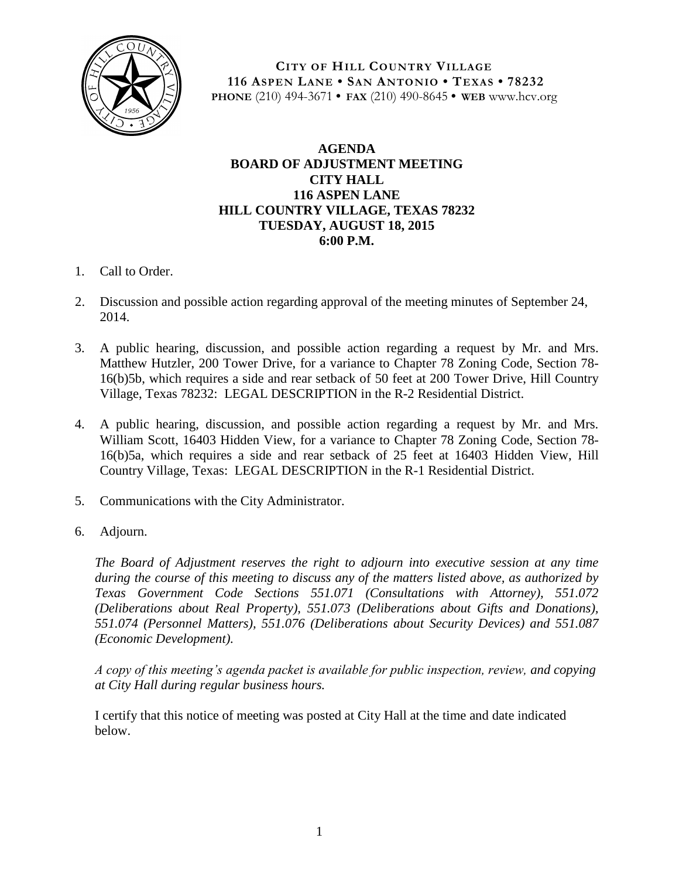

**CITY OF HILL COUNTRY VILLAGE 116 ASPEN LANE • SAN ANTONIO • TEXAS • 78232 PHONE** (210) 494-3671 **• FAX** (210) 490-8645 **• WEB** www.hcv.org

## **AGENDA BOARD OF ADJUSTMENT MEETING CITY HALL 116 ASPEN LANE HILL COUNTRY VILLAGE, TEXAS 78232 TUESDAY, AUGUST 18, 2015 6:00 P.M.**

- 1. Call to Order.
- 2. Discussion and possible action regarding approval of the meeting minutes of September 24, 2014.
- 3. A public hearing, discussion, and possible action regarding a request by Mr. and Mrs. Matthew Hutzler, 200 Tower Drive, for a variance to Chapter 78 Zoning Code, Section 78- 16(b)5b, which requires a side and rear setback of 50 feet at 200 Tower Drive, Hill Country Village, Texas 78232: LEGAL DESCRIPTION in the R-2 Residential District.
- 4. A public hearing, discussion, and possible action regarding a request by Mr. and Mrs. William Scott, 16403 Hidden View, for a variance to Chapter 78 Zoning Code, Section 78- 16(b)5a, which requires a side and rear setback of 25 feet at 16403 Hidden View, Hill Country Village, Texas: LEGAL DESCRIPTION in the R-1 Residential District.
- 5. Communications with the City Administrator.
- 6. Adjourn.

*The Board of Adjustment reserves the right to adjourn into executive session at any time during the course of this meeting to discuss any of the matters listed above, as authorized by Texas Government Code Sections 551.071 (Consultations with Attorney), 551.072 (Deliberations about Real Property), 551.073 (Deliberations about Gifts and Donations), 551.074 (Personnel Matters), 551.076 (Deliberations about Security Devices) and 551.087 (Economic Development).*

*A copy of this meeting's agenda packet is available for public inspection, review, and copying at City Hall during regular business hours.*

I certify that this notice of meeting was posted at City Hall at the time and date indicated below.